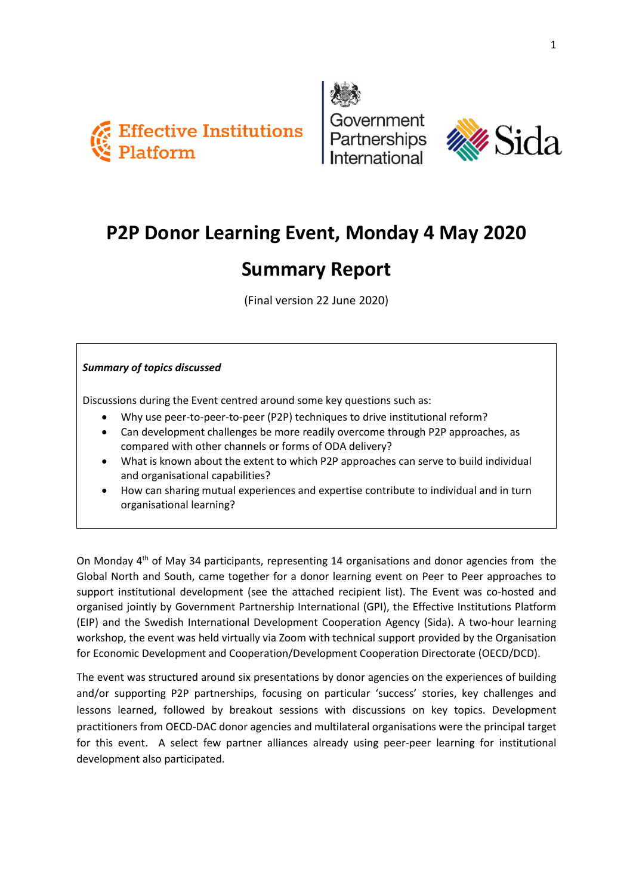





# **P2P Donor Learning Event, Monday 4 May 2020**

## **Summary Report**

(Final version 22 June 2020)

### *Summary of topics discussed*

Discussions during the Event centred around some key questions such as:

- Why use peer-to-peer-to-peer (P2P) techniques to drive institutional reform?
- Can development challenges be more readily overcome through P2P approaches, as compared with other channels or forms of ODA delivery?
- What is known about the extent to which P2P approaches can serve to build individual and organisational capabilities?
- How can sharing mutual experiences and expertise contribute to individual and in turn organisational learning?

On Monday 4th of May 34 participants, representing 14 organisations and donor agencies from the Global North and South, came together for a donor learning event on Peer to Peer approaches to support institutional development (see the attached recipient list). The Event was co-hosted and organised jointly by Government Partnership International (GPI), the Effective Institutions Platform (EIP) and the Swedish International Development Cooperation Agency (Sida). A two-hour learning workshop, the event was held virtually via Zoom with technical support provided by the Organisation for Economic Development and Cooperation/Development Cooperation Directorate (OECD/DCD).

The event was structured around six presentations by donor agencies on the experiences of building and/or supporting P2P partnerships, focusing on particular 'success' stories, key challenges and lessons learned, followed by breakout sessions with discussions on key topics. Development practitioners from OECD-DAC donor agencies and multilateral organisations were the principal target for this event. A select few partner alliances already using peer-peer learning for institutional development also participated.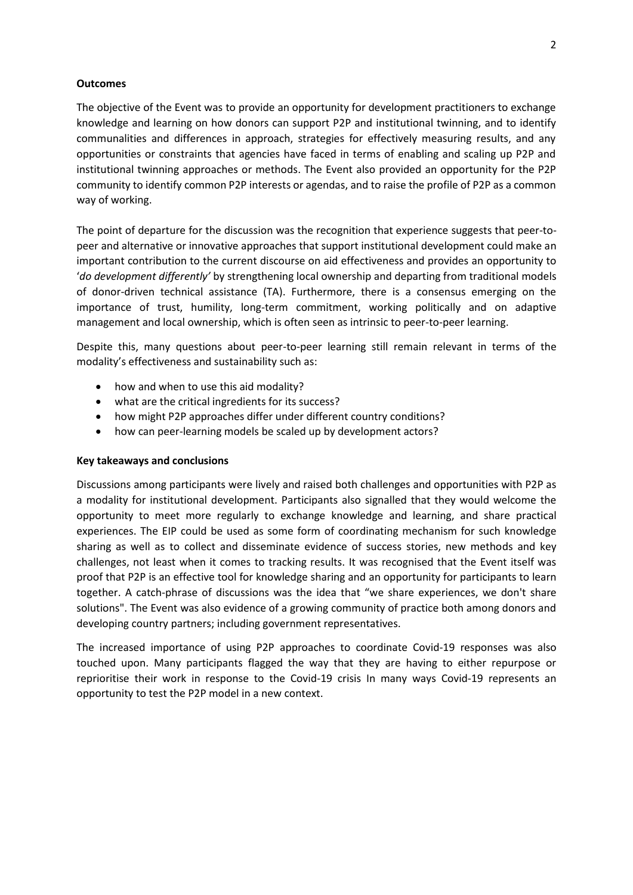#### **Outcomes**

The objective of the Event was to provide an opportunity for development practitioners to exchange knowledge and learning on how donors can support P2P and institutional twinning, and to identify communalities and differences in approach, strategies for effectively measuring results, and any opportunities or constraints that agencies have faced in terms of enabling and scaling up P2P and institutional twinning approaches or methods. The Event also provided an opportunity for the P2P community to identify common P2P interests or agendas, and to raise the profile of P2P as a common way of working.

The point of departure for the discussion was the recognition that experience suggests that peer-topeer and alternative or innovative approaches that support institutional development could make an important contribution to the current discourse on aid effectiveness and provides an opportunity to '*do development differently'* by strengthening local ownership and departing from traditional models of donor-driven technical assistance (TA). Furthermore, there is a consensus emerging on the importance of trust, humility, long-term commitment, working politically and on adaptive management and local ownership, which is often seen as intrinsic to peer-to-peer learning.

Despite this, many questions about peer-to-peer learning still remain relevant in terms of the modality's effectiveness and sustainability such as:

- how and when to use this aid modality?
- what are the critical ingredients for its success?
- how might P2P approaches differ under different country conditions?
- how can peer-learning models be scaled up by development actors?

#### **Key takeaways and conclusions**

Discussions among participants were lively and raised both challenges and opportunities with P2P as a modality for institutional development. Participants also signalled that they would welcome the opportunity to meet more regularly to exchange knowledge and learning, and share practical experiences. The EIP could be used as some form of coordinating mechanism for such knowledge sharing as well as to collect and disseminate evidence of success stories, new methods and key challenges, not least when it comes to tracking results. It was recognised that the Event itself was proof that P2P is an effective tool for knowledge sharing and an opportunity for participants to learn together. A catch-phrase of discussions was the idea that "we share experiences, we don't share solutions". The Event was also evidence of a growing community of practice both among donors and developing country partners; including government representatives.

The increased importance of using P2P approaches to coordinate Covid-19 responses was also touched upon. Many participants flagged the way that they are having to either repurpose or reprioritise their work in response to the Covid-19 crisis In many ways Covid-19 represents an opportunity to test the P2P model in a new context.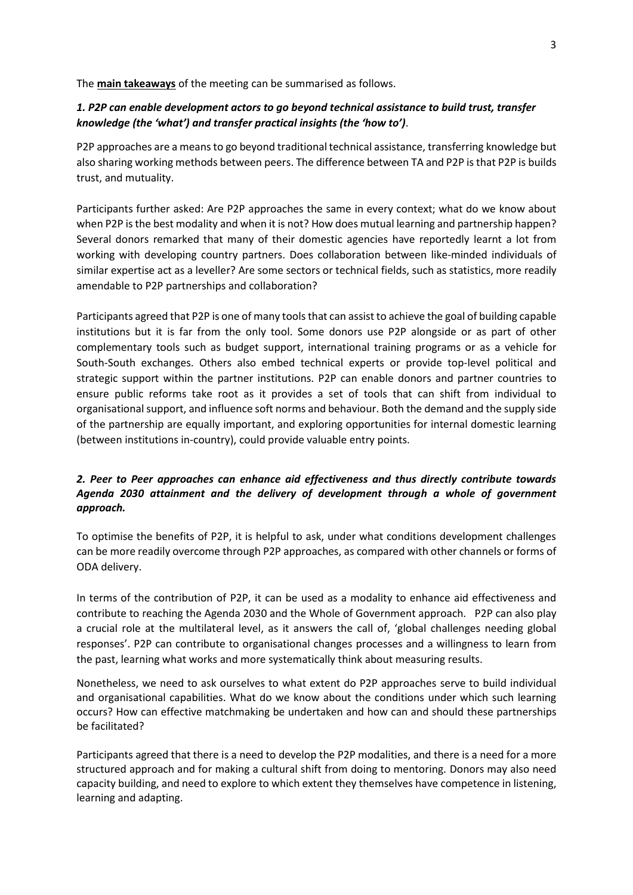The **main takeaways** of the meeting can be summarised as follows.

#### *1. P2P can enable development actors to go beyond technical assistance to build trust, transfer knowledge (the 'what') and transfer practical insights (the 'how to')*.

P2P approaches are a means to go beyond traditional technical assistance, transferring knowledge but also sharing working methods between peers. The difference between TA and P2P is that P2P is builds trust, and mutuality.

Participants further asked: Are P2P approaches the same in every context; what do we know about when P2P is the best modality and when it is not? How does mutual learning and partnership happen? Several donors remarked that many of their domestic agencies have reportedly learnt a lot from working with developing country partners. Does collaboration between like-minded individuals of similar expertise act as a leveller? Are some sectors or technical fields, such as statistics, more readily amendable to P2P partnerships and collaboration?

Participants agreed that P2P is one of many tools that can assist to achieve the goal of building capable institutions but it is far from the only tool. Some donors use P2P alongside or as part of other complementary tools such as budget support, international training programs or as a vehicle for South-South exchanges. Others also embed technical experts or provide top-level political and strategic support within the partner institutions. P2P can enable donors and partner countries to ensure public reforms take root as it provides a set of tools that can shift from individual to organisational support, and influence soft norms and behaviour. Both the demand and the supply side of the partnership are equally important, and exploring opportunities for internal domestic learning (between institutions in-country), could provide valuable entry points.

### *2. Peer to Peer approaches can enhance aid effectiveness and thus directly contribute towards Agenda 2030 attainment and the delivery of development through a whole of government approach.*

To optimise the benefits of P2P, it is helpful to ask, under what conditions development challenges can be more readily overcome through P2P approaches, as compared with other channels or forms of ODA delivery.

In terms of the contribution of P2P, it can be used as a modality to enhance aid effectiveness and contribute to reaching the Agenda 2030 and the Whole of Government approach. P2P can also play a crucial role at the multilateral level, as it answers the call of, 'global challenges needing global responses'. P2P can contribute to organisational changes processes and a willingness to learn from the past, learning what works and more systematically think about measuring results.

Nonetheless, we need to ask ourselves to what extent do P2P approaches serve to build individual and organisational capabilities. What do we know about the conditions under which such learning occurs? How can effective matchmaking be undertaken and how can and should these partnerships be facilitated?

Participants agreed that there is a need to develop the P2P modalities, and there is a need for a more structured approach and for making a cultural shift from doing to mentoring. Donors may also need capacity building, and need to explore to which extent they themselves have competence in listening, learning and adapting.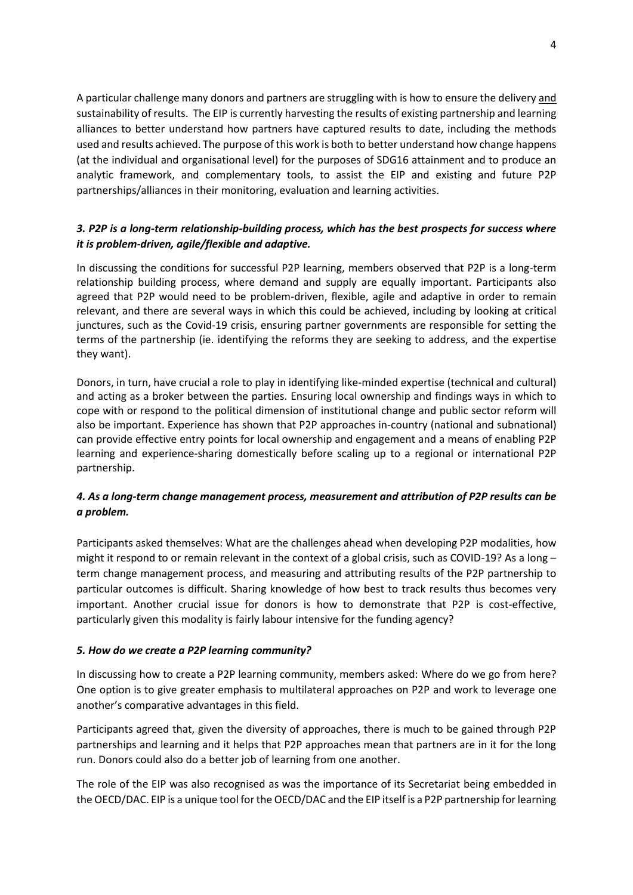A particular challenge many donors and partners are struggling with is how to ensure the delivery and sustainability of results. The EIP is currently harvesting the results of existing partnership and learning alliances to better understand how partners have captured results to date, including the methods used and results achieved. The purpose of this work is both to better understand how change happens (at the individual and organisational level) for the purposes of SDG16 attainment and to produce an analytic framework, and complementary tools, to assist the EIP and existing and future P2P partnerships/alliances in their monitoring, evaluation and learning activities.

### *3. P2P is a long-term relationship-building process, which has the best prospects for success where it is problem-driven, agile/flexible and adaptive.*

In discussing the conditions for successful P2P learning, members observed that P2P is a long-term relationship building process, where demand and supply are equally important. Participants also agreed that P2P would need to be problem-driven, flexible, agile and adaptive in order to remain relevant, and there are several ways in which this could be achieved, including by looking at critical junctures, such as the Covid-19 crisis, ensuring partner governments are responsible for setting the terms of the partnership (ie. identifying the reforms they are seeking to address, and the expertise they want).

Donors, in turn, have crucial a role to play in identifying like-minded expertise (technical and cultural) and acting as a broker between the parties. Ensuring local ownership and findings ways in which to cope with or respond to the political dimension of institutional change and public sector reform will also be important. Experience has shown that P2P approaches in-country (national and subnational) can provide effective entry points for local ownership and engagement and a means of enabling P2P learning and experience-sharing domestically before scaling up to a regional or international P2P partnership.

## *4. As a long-term change management process, measurement and attribution of P2P results can be a problem.*

Participants asked themselves: What are the challenges ahead when developing P2P modalities, how might it respond to or remain relevant in the context of a global crisis, such as COVID-19? As a long – term change management process, and measuring and attributing results of the P2P partnership to particular outcomes is difficult. Sharing knowledge of how best to track results thus becomes very important. Another crucial issue for donors is how to demonstrate that P2P is cost-effective, particularly given this modality is fairly labour intensive for the funding agency?

#### *5. How do we create a P2P learning community?*

In discussing how to create a P2P learning community, members asked: Where do we go from here? One option is to give greater emphasis to multilateral approaches on P2P and work to leverage one another's comparative advantages in this field.

Participants agreed that, given the diversity of approaches, there is much to be gained through P2P partnerships and learning and it helps that P2P approaches mean that partners are in it for the long run. Donors could also do a better job of learning from one another.

The role of the EIP was also recognised as was the importance of its Secretariat being embedded in the OECD/DAC. EIP is a unique tool for the OECD/DAC and the EIP itself is a P2P partnership for learning